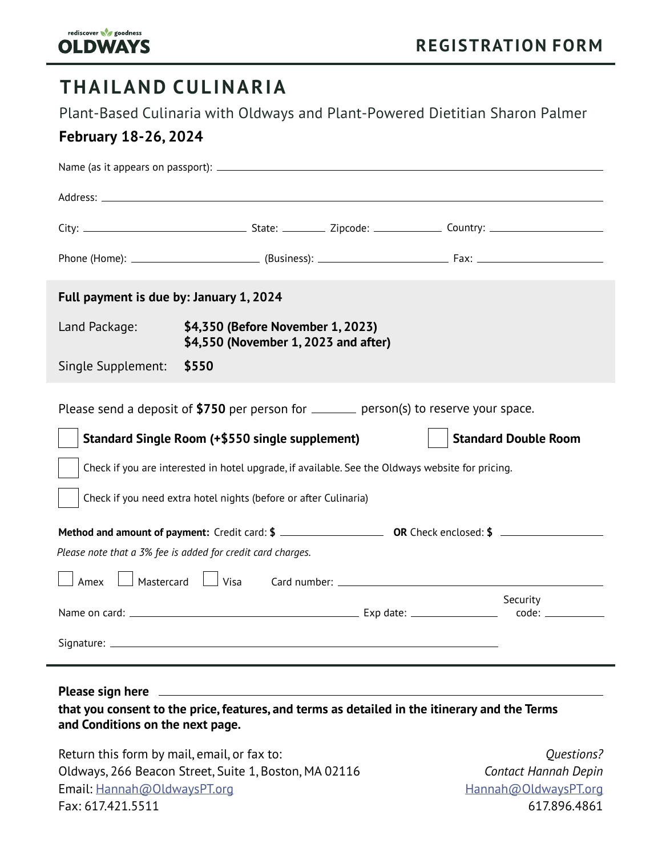

617.896.4861

# **THAILAND CULINARIA**

Plant-Based Culinaria with Oldways and Plant-Powered Dietitian Sharon Palmer

### **February 18-26, 2024**

| Full payment is due by: January 1, 2024                                                                                                                                                                                                                                                                                                                                                                                                                          |                                                                           |  |                                              |
|------------------------------------------------------------------------------------------------------------------------------------------------------------------------------------------------------------------------------------------------------------------------------------------------------------------------------------------------------------------------------------------------------------------------------------------------------------------|---------------------------------------------------------------------------|--|----------------------------------------------|
| Land Package:                                                                                                                                                                                                                                                                                                                                                                                                                                                    | \$4,350 (Before November 1, 2023)<br>\$4,550 (November 1, 2023 and after) |  |                                              |
| Single Supplement:                                                                                                                                                                                                                                                                                                                                                                                                                                               | \$550                                                                     |  |                                              |
| Please send a deposit of \$750 per person for _______ person(s) to reserve your space.<br>Standard Single Room (+\$550 single supplement)<br><b>Standard Double Room</b><br>Check if you are interested in hotel upgrade, if available. See the Oldways website for pricing.<br>Check if you need extra hotel nights (before or after Culinaria)<br>Please note that a 3% fee is added for credit card charges.<br>Mastercard<br>$\Box$ Visa<br>Amex<br>Security |                                                                           |  |                                              |
| Signature: $\overline{\phantom{a}}$                                                                                                                                                                                                                                                                                                                                                                                                                              |                                                                           |  |                                              |
|                                                                                                                                                                                                                                                                                                                                                                                                                                                                  |                                                                           |  |                                              |
| that you consent to the price, features, and terms as detailed in the itinerary and the Terms<br>and Conditions on the next page.                                                                                                                                                                                                                                                                                                                                |                                                                           |  |                                              |
| Return this form by mail, email, or fax to:                                                                                                                                                                                                                                                                                                                                                                                                                      |                                                                           |  | Questions?                                   |
| Oldways, 266 Beacon Street, Suite 1, Boston, MA 02116<br>Email: Hannah@OldwaysPT.org                                                                                                                                                                                                                                                                                                                                                                             |                                                                           |  | Contact Hannah Depin<br>Hannah@OldwaysPT.org |

Fax: 617.421.5511